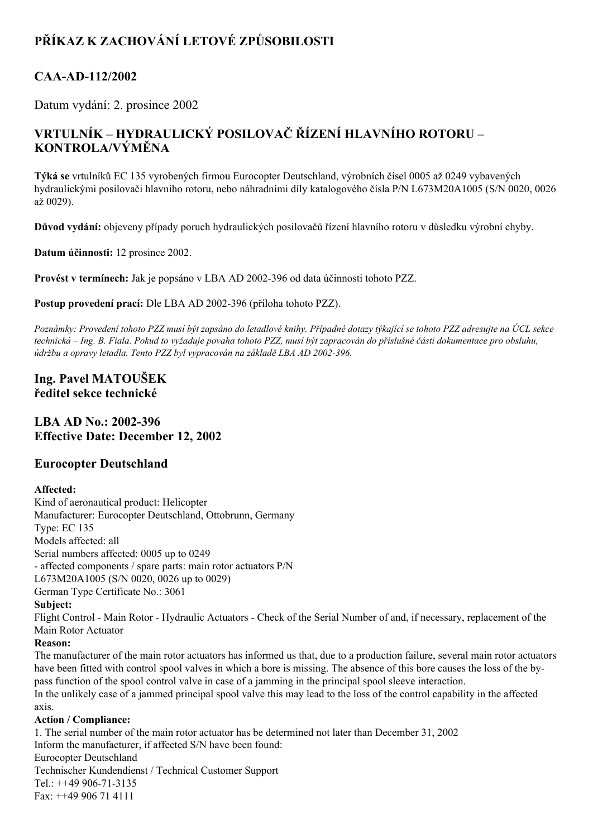# **PŘÍKAZ K ZACHOVÁNÍ LETOVÉ ZPŮSOBILOSTI**

## **CAAAD112/2002**

Datum vydání: 2. prosince 2002

## **VRTULNÍK – HYDRAULICKÝ POSILOVAČ ŘÍZENÍ HLAVNÍHO ROTORU – KONTROLA/VÝMĚNA**

**Týká se** vrtulníků EC 135 vyrobených firmou Eurocopter Deutschland, výrobních čísel 0005 až 0249 vybavených hydraulickými posilovači hlavního rotoru, nebo náhradními díly katalogového čísla P/N L673M20A1005 (S/N 0020, 0026 až 0029).

**Důvod vydání:** objeveny případy poruch hydraulických posilovačů řízení hlavního rotoru v důsledku výrobní chyby.

**Datum účinnosti:** 12 prosince 2002.

**Provést v termínech:** Jak je popsáno v LBA AD 2002396 od data účinnosti tohoto PZZ.

**Postup provedení prací:** Dle LBA AD 2002396 (příloha tohoto PZZ).

Poznámky: Provedení tohoto PZZ musí být zapsáno do letadlové knihy. Případné dotazy týkající se tohoto PZZ adresuite na ÚCL sekce technická – Ing. B. Fiala. Pokud to vyžaduje povaha tohoto PZZ, musí být zapracován do příslušné části dokumentace pro obsluhu. *údržbu a opravy letadla. Tento PZZ byl vypracován na základě LBA AD 2002396.*

## **Ing. Pavel MATOUŠEK ředitel sekce technické**

### **LBA AD No.: 2002396 Effective Date: December 12, 2002**

### **Eurocopter Deutschland**

#### **Affected:**

Kind of aeronautical product: Helicopter Manufacturer: Eurocopter Deutschland, Ottobrunn, Germany Type: EC 135 Models affected: all Serial numbers affected: 0005 up to 0249 affected components / spare parts: main rotor actuators P/N L673M20A1005 (S/N 0020, 0026 up to 0029) German Type Certificate No.: 3061 **Subject:** Flight Control - Main Rotor - Hydraulic Actuators - Check of the Serial Number of and, if necessary, replacement of the Main Rotor Actuator

#### **Reason:**

The manufacturer of the main rotor actuators has informed us that, due to a production failure, several main rotor actuators have been fitted with control spool valves in which a bore is missing. The absence of this bore causes the loss of the bypass function of the spool control valve in case of a jamming in the principal spool sleeve interaction.

In the unlikely case of a jammed principal spool valve this may lead to the loss of the control capability in the affected axis.

#### **Action / Compliance:**

1. The serial number of the main rotor actuator has be determined not later than December 31, 2002 Inform the manufacturer, if affected S/N have been found: Eurocopter Deutschland Technischer Kundendienst / Technical Customer Support Tel.: ++49 906-71-3135 Fax: ++49 906 71 4111